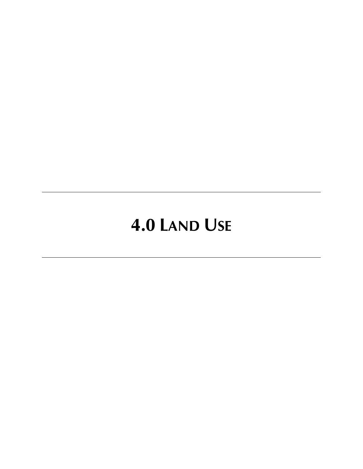# **4.0 LAND USE**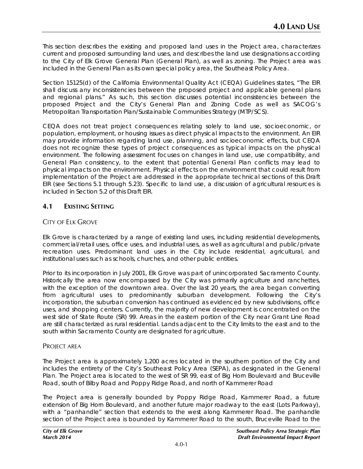This section describes the existing and proposed land uses in the Project area, characterizes current and proposed surrounding land uses, and describes the land use designations according to the City of Elk Grove General Plan (General Plan), as well as zoning. The Project area was included in the General Plan as its own special policy area, the Southeast Policy Area.

Section 15125(d) of the California Environmental Quality Act (CEQA) Guidelines states, "The EIR shall discuss any inconsistencies between the proposed project and applicable general plans and regional plans." As such, this section discusses potential inconsistencies between the proposed Project and the City's General Plan and Zoning Code as well as SACOG's Metropolitan Transportation Plan/Sustainable Communities Strategy (MTP/SCS).

CEQA does not treat project consequences relating solely to land use, socioeconomic, or population, employment, or housing issues as direct physical impacts to the environment. An EIR may provide information regarding land use, planning, and socioeconomic effects, but CEQA does not recognize these types of project consequences as typical impacts on the physical environment. The following assessment focuses on changes in land use, use compatibility, and General Plan consistency, to the extent that potential General Plan conflicts may lead to physical impacts on the environment. Physical effects on the environment that could result from implementation of the Project are addressed in the appropriate technical sections of this Draft EIR (see Sections 5.1 through 5.23). Specific to land use, a discussion of agricultural resources is included in Section 5.2 of this Draft EIR.

# **4.1 EXISTING SETTING**

# CITY OF ELK GROVE

Elk Grove is characterized by a range of existing land uses, including residential developments, commercial/retail uses, office uses, and industrial uses, as well as agricultural and public/private recreation uses. Predominant land uses in the City include residential, agricultural, and institutional uses such as schools, churches, and other public entities.

Prior to its incorporation in July 2001, Elk Grove was part of unincorporated Sacramento County. Historically the area now encompassed by the City was primarily agriculture and ranchettes, with the exception of the downtown area. Over the last 20 years, the area began converting from agricultural uses to predominantly suburban development. Following the City's incorporation, the suburban conversion has continued as evidenced by new subdivisions, office uses, and shopping centers. Currently, the majority of new development is concentrated on the west side of State Route (SR) 99. Areas in the eastern portion of the City near Grant Line Road are still characterized as rural residential. Lands adjacent to the City limits to the east and to the south within Sacramento County are designated for agriculture.

## PROJECT AREA

The Project area is approximately 1,200 acres located in the southern portion of the City and includes the entirety of the City's Southeast Policy Area (SEPA), as designated in the General Plan. The Project area is located to the west of SR 99, east of Big Horn Boulevard and Bruceville Road, south of Bilby Road and Poppy Ridge Road, and north of Kammerer Road

The Project area is generally bounded by Poppy Ridge Road, Kammerer Road, a future extension of Big Horn Boulevard, and another future major roadway to the east (Lots Parkway), with a "panhandle" section that extends to the west along Kammerer Road. The panhandle section of the Project area is bounded by Kammerer Road to the south, Bruceville Road to the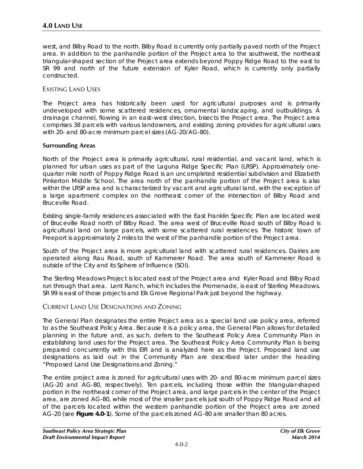west, and Bilby Road to the north. Bilby Road is currently only partially paved north of the Project area. In addition to the panhandle portion of the Project area to the southwest, the northeast triangular-shaped section of the Project area extends beyond Poppy Ridge Road to the east to SR 99 and north of the future extension of Kyler Road, which is currently only partially constructed.

## EXISTING LAND USES

The Project area has historically been used for agricultural purposes and is primarily undeveloped with some scattered residences, ornamental landscaping, and outbuildings. A drainage channel, flowing in an east–west direction, bisects the Project area. The Project area comprises 38 parcels with various landowners, and existing zoning provides for agricultural uses with 20- and 80-acre minimum parcel sizes (AG-20/AG-80).

#### **Surrounding Areas**

North of the Project area is primarily agricultural, rural residential, and vacant land, which is planned for urban uses as part of the Laguna Ridge Specific Plan (LRSP). Approximately onequarter mile north of Poppy Ridge Road is an uncompleted residential subdivision and Elizabeth Pinkerton Middle School. The area north of the panhandle portion of the Project area is also within the LRSP area and is characterized by vacant and agricultural land, with the exception of a large apartment complex on the northeast corner of the intersection of Bilby Road and Bruceville Road.

Existing single-family residences associated with the East Franklin Specific Plan are located west of Bruceville Road north of Bilby Road. The area west of Bruceville Road south of Bilby Road is agricultural land on large parcels, with some scattered rural residences. The historic town of Freeport is approximately 2 miles to the west of the panhandle portion of the Project area.

South of the Project area is more agricultural land with scattered rural residences. Dairies are operated along Rau Road, south of Kammerer Road. The area south of Kammerer Road is outside of the City and its Sphere of Influence (SOI).

The Sterling Meadows Project is located east of the Project area and Kyler Road and Bilby Road run through that area. Lent Ranch, which includes the Promenade, is east of Sterling Meadows. SR 99 is east of those projects and Elk Grove Regional Park just beyond the highway.

## CURRENT LAND USE DESIGNATIONS AND ZONING

The General Plan designates the entire Project area as a special land use policy area, referred to as the Southeast Policy Area. Because it is a policy area, the General Plan allows for detailed planning in the future and, as such, defers to the Southeast Policy Area Community Plan in establishing land uses for the Project area. The Southeast Policy Area Community Plan is being prepared concurrently with this EIR and is analyzed here as the Project. Proposed land use designations as laid out in the Community Plan are described later under the heading "Proposed Land Use Designations and Zoning."

The entire project area is zoned for agricultural uses with 20- and 80-acre minimum parcel sizes (AG-20 and AG-80, respectively). Ten parcels, including those within the triangular-shaped portion in the northeast corner of the Project area, and large parcels in the center of the Project area, are zoned AG-80, while most of the smaller parcels just south of Poppy Ridge Road and all of the parcels located within the western panhandle portion of the Project area are zoned AG-20 (see **Figure 4.0-1**). Some of the parcels zoned AG-80 are smaller than 80 acres.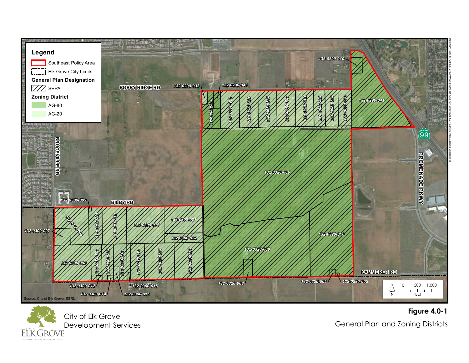



**Figure 4.0-1** General Plan and Zoning Districts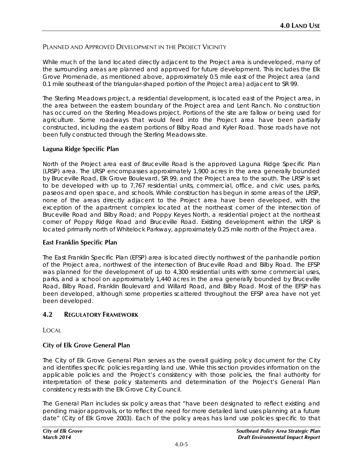## PLANNED AND APPROVED DEVELOPMENT IN THE PROJECT VICINITY

While much of the land located directly adjacent to the Project area is undeveloped, many of the surrounding areas are planned and approved for future development. This includes the Elk Grove Promenade, as mentioned above, approximately 0.5 mile east of the Project area (and 0.1 mile southeast of the triangular-shaped portion of the Project area) adjacent to SR 99.

The Sterling Meadows project, a residential development, is located east of the Project area, in the area between the eastern boundary of the Project area and Lent Ranch. No construction has occurred on the Sterling Meadows project. Portions of the site are fallow or being used for agriculture. Some roadways that would feed into the Project area have been partially constructed, including the eastern portions of Bilby Road and Kyler Road. Those roads have not been fully constructed through the Sterling Meadows site.

#### **Laguna Ridge Specific Plan**

North of the Project area east of Bruceville Road is the approved Laguna Ridge Specific Plan (LRSP) area. The LRSP encompasses approximately 1,900 acres in the area generally bounded by Bruceville Road, Elk Grove Boulevard, SR 99, and the Project area to the south. The LRSP is set to be developed with up to 7,767 residential units, commercial, office, and civic uses, parks, paseos and open space, and schools. While construction has begun in some areas of the LRSP, none of the areas directly adjacent to the Project area have been developed, with the exception of the apartment complex located at the northeast corner of the intersection of Bruceville Road and Bilby Road; and Poppy Keyes North, a residential project at the northeast corner of Poppy Ridge Road and Bruceville Road. Existing development within the LRSP is located primarily north of Whitelock Parkway, approximately 0.25 mile north of the Project area.

## **East Franklin Specific Plan**

The East Franklin Specific Plan (EFSP) area is located directly northwest of the panhandle portion of the Project area, northwest of the intersection of Bruceville Road and Bilby Road. The EFSP was planned for the development of up to 4,300 residential units with some commercial uses, parks, and a school on approximately 1,440 acres in the area generally bounded by Bruceville Road, Bilby Road, Franklin Boulevard and Willard Road, and Bilby Road. Most of the EFSP has been developed, although some properties scattered throughout the EFSP area have not yet been developed.

## **4.2 REGULATORY FRAMEWORK**

LOCAL

## **City of Elk Grove General Plan**

The City of Elk Grove General Plan serves as the overall guiding policy document for the City and identifies specific policies regarding land use. While this section provides information on the applicable policies and the Project's consistency with those policies, the final authority for interpretation of these policy statements and determination of the Project's General Plan consistency rests with the Elk Grove City Council.

The General Plan includes six policy areas that "have been designated to reflect existing and pending major approvals, or to reflect the need for more detailed land uses planning at a future date" (City of Elk Grove 2003). Each of the policy areas has land use policies specific to that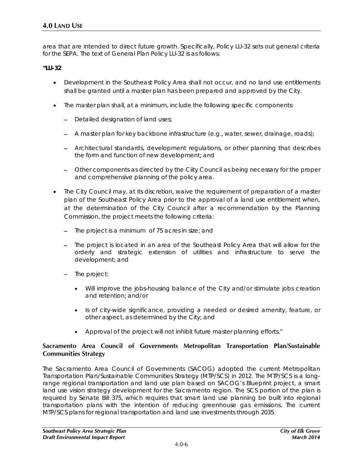area that are intended to direct future growth. Specifically, Policy LU-32 sets out general criteria for the SEPA. The text of General Plan Policy LU-32 is as follows:

**"LU-32**

- Development in the Southeast Policy Area shall not occur, and no land use entitlements shall be granted until a master plan has been prepared and approved by the City.
- The master plan shall, at a minimum, include the following specific components:
	- − Detailed designation of land uses;
	- − A master plan for key backbone infrastructure (e.g., water, sewer, drainage, roads);
	- − Architectural standards, development regulations, or other planning that describes the form and function of new development; and
	- − Other components as directed by the Ciity Council as being necessary for the proper and comprehensive planning of the policy area.
- The City Council may, at its discretion, waive the requirement of preparation of a master plan of the Southeast Policy Area prior to the approval of a land use entitlement when, at the determination of the City Council after a recommendation by the Planning Commission, the project meets the following criteria:
	- − The project is a minimum of 75 acres in size; and
	- − The project is located in an area of the Southeast Policy Area that will allow for the orderly and strategic extension of utilities and infrastructure to serve the development; and
	- − The project:
		- Will improve the jobs-housing balance of the City and/or stimulate jobs creation and retention; and/or
		- Is of city-wide significance, providing a needed or desired amenity, feature, or other aspect, as determined by the City; and
		- Approval of the project will not inhibit future master planning efforts."

## **Sacramento Area Council of Governments Metropolitan Transportation Plan/Sustainable Communities Strategy**

The Sacramento Area Council of Governments (SACOG) adopted the current Metropolitan Transportation Plan/Sustainable Communities Strategy (MTP/SCS) in 2012. The MTP/SCS is a longrange regional transportation and land use plan based on SACOG's Blueprint project, a smart land use vision strategy development for the Sacramento region. The SCS portion of the plan is required by Senate Bill 375, which requires that smart land use planning be built into regional transportation plans with the intention of reducing greenhouse gas emissions. The current MTP/SCS plans for regional transportation and land use investments through 2035.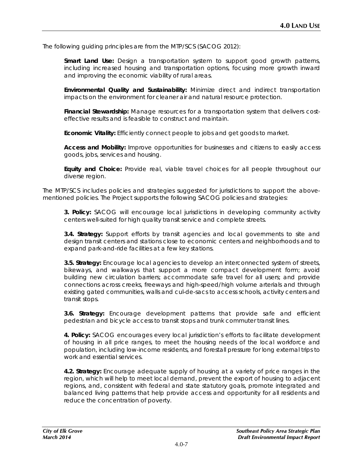The following guiding principles are from the MTP/SCS (SACOG 2012):

**Smart Land Use:** Design a transportation system to support good growth patterns, including increased housing and transportation options, focusing more growth inward and improving the economic viability of rural areas.

**Environmental Quality and Sustainability:** Minimize direct and indirect transportation impacts on the environment for cleaner air and natural resource protection.

Financial Stewardship: Manage resources for a transportation system that delivers costeffective results and is feasible to construct and maintain.

**Economic Vitality:** Efficiently connect people to jobs and get goods to market.

**Access and Mobility:** Improve opportunities for businesses and citizens to easily access goods, jobs, services and housing.

**Equity and Choice:** Provide real, viable travel choices for all people throughout our diverse region.

The MTP/SCS includes policies and strategies suggested for jurisdictions to support the abovementioned policies. The Project supports the following SACOG policies and strategies:

**3. Policy:** SACOG will encourage local jurisdictions in developing community activity centers well-suited for high quality transit service and complete streets.

**3.4. Strategy:** Support efforts by transit agencies and local governments to site and design transit centers and stations close to economic centers and neighborhoods and to expand park-and-ride facilities at a few key stations.

**3.5. Strategy:** Encourage local agencies to develop an interconnected system of streets, bikeways, and walkways that support a more compact development form; avoid building new circulation barriers; accommodate safe travel for all users; and provide connections across creeks, freeways and high-speed/high volume arterials and through existing gated communities, walls and cul-de-sacs to access schools, activity centers and transit stops.

**3.6. Strategy:** Encourage development patterns that provide safe and efficient pedestrian and bicycle access to transit stops and trunk commuter transit lines.

**4. Policy:** SACOG encourages every local jurisdiction's efforts to facilitate development of housing in all price ranges, to meet the housing needs of the local workforce and population, including low-income residents, and forestall pressure for long external trips to work and essential services.

**4.2. Strategy:** Encourage adequate supply of housing at a variety of price ranges in the region, which will help to meet local demand, prevent the export of housing to adjacent regions, and, consistent with federal and state statutory goals, promote integrated and balanced living patterns that help provide access and opportunity for all residents and reduce the concentration of poverty.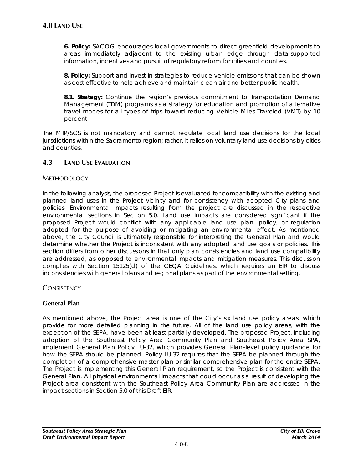**6. Policy:** SACOG encourages local governments to direct greenfield developments to areas immediately adjacent to the existing urban edge through data-supported information, incentives and pursuit of regulatory reform for cities and counties.

**8. Policy:** Support and invest in strategies to reduce vehicle emissions that can be shown as cost effective to help achieve and maintain clean air and better public health.

**8.1. Strategy:** Continue the region's previous commitment to Transportation Demand Management (TDM) programs as a strategy for education and promotion of alternative travel modes for all types of trips toward reducing Vehicle Miles Traveled (VMT) by 10 percent.

The MTP/SCS is not mandatory and cannot regulate local land use decisions for the local jurisdictions within the Sacramento region; rather, it relies on voluntary land use decisions by cities and counties.

## **4.3 LAND USE EVALUATION**

#### **METHODOLOGY**

In the following analysis, the proposed Project is evaluated for compatibility with the existing and planned land uses in the Project vicinity and for consistency with adopted City plans and policies. Environmental impacts resulting from the project are discussed in the respective environmental sections in Section 5.0. Land use impacts are considered significant if the proposed Project would conflict with any applicable land use plan, policy, or regulation adopted for the purpose of avoiding or mitigating an environmental effect. As mentioned above, the City Council is ultimately responsible for interpreting the General Plan and would determine whether the Project is inconsistent with any adopted land use goals or policies. This section differs from other discussions in that only plan consistencies and land use compatibility are addressed, as opposed to environmental impacts and mitigation measures. This discussion complies with Section 15125(d) of the CEQA Guidelines, which requires an EIR to discuss inconsistencies with general plans and regional plans as part of the environmental setting.

## **CONSISTENCY**

## **General Plan**

As mentioned above, the Project area is one of the City's six land use policy areas, which provide for more detailed planning in the future. All of the land use policy areas, with the exception of the SEPA, have been at least partially developed. The proposed Project, including adoption of the Southeast Policy Area Community Plan and Southeast Policy Area SPA, implement General Plan Policy LU-32, which provides General Plan–level policy guidance for how the SEPA should be planned. Policy LU-32 requires that the SEPA be planned through the completion of a comprehensive master plan or similar comprehensive plan for the entire SEPA. The Project is implementing this General Plan requirement, so the Project is consistent with the General Plan. All physical environmental impacts that could occur as a result of developing the Project area consistent with the Southeast Policy Area Community Plan are addressed in the impact sections in Section 5.0 of this Draft EIR.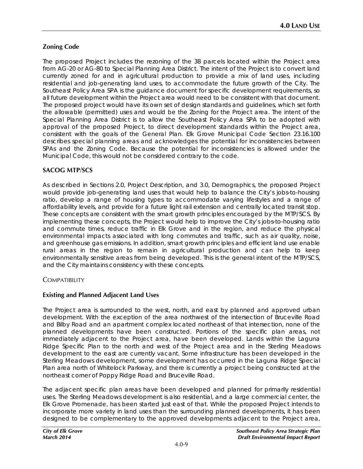# **Zoning Code**

The proposed Project includes the rezoning of the 38 parcels located within the Project area from AG-20 or AG-80 to Special Planning Area District. The intent of the Project is to convert land currently zoned for and in agricultural production to provide a mix of land uses, including residential and job-generating land uses, to accommodate the future growth of the City. The Southeast Policy Area SPA is the guidance document for specific development requirements, so all future development within the Project area would need to be consistent with that document. The proposed project would have its own set of design standards and guidelines, which set forth the allowable (permitted) uses and would be the Zoning for the Project area. The intent of the Special Planning Area District is to allow the Southeast Policy Area SPA to be adopted with approval of the proposed Project, to direct development standards within the Project area, consistent with the goals of the General Plan. Elk Grove Municipal Code Section 23.16.100 describes special planning areas and acknowledges the potential for inconsistencies between SPAs and the Zoning Code. Because the potential for inconsistencies is allowed under the Municipal Code, this would not be considered contrary to the code.

## **SACOG MTP/SCS**

As described in Sections 2.0, Project Description, and 3.0, Demographics, the proposed Project would provide job-generating land uses that would help to balance the City's jobs-to-housing ratio, develop a range of housing types to accommodate varying lifestyles and a range of affordability levels, and provide for a future light rail extension and centrally located transit stop. These concepts are consistent with the smart growth principles encouraged by the MTP/SCS. By implementing these concepts, the Project would help to improve the City's jobs-to-housing ratio and commute times, reduce traffic in Elk Grove and in the region, and reduce the physical environmental impacts associated with long commutes and traffic, such as air quality, noise, and greenhouse gas emissions. In addition, smart growth principles and efficient land use enable rural areas in the region to remain in agricultural production and can help to keep environmentally sensitive areas from being developed. This is the general intent of the MTP/SCS, and the City maintains consistency with these concepts.

## **COMPATIBILITY**

## **Existing and Planned Adjacent Land Uses**

The Project area is surrounded to the west, north, and east by planned and approved urban development. With the exception of the area northwest of the intersection of Bruceville Road and Bilby Road and an apartment complex located northeast of that intersection, none of the planned developments have been constructed. Portions of the specific plan areas, not immediately adjacent to the Project area, have been developed. Lands within the Laguna Ridge Specific Plan to the north and west of the Project area and in the Sterling Meadows development to the east are currently vacant. Some infrastructure has been developed in the Sterling Meadows development, some development has occurred in the Laguna Ridge Special Plan area north of Whitelock Parkway, and there is currently a project being constructed at the northeast corner of Poppy Ridge Road and Bruceville Road.

The adjacent specific plan areas have been developed and planned for primarily residential uses. The Sterling Meadows development is also residential, and a large commercial center, the Elk Grove Promenade, has been started just east of that. While the proposed Project intends to incorporate more variety in land uses than the surrounding planned developments, it has been designed to be complementary to the approved developments adjacent to the Project area,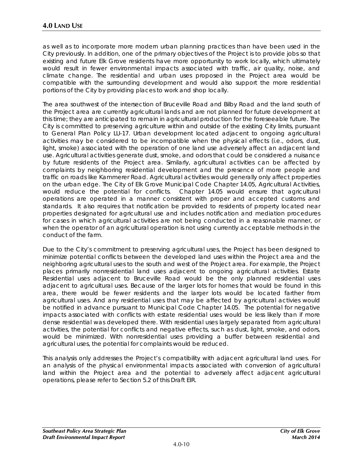as well as to incorporate more modern urban planning practices than have been used in the City previously. In addition, one of the primary objectives of the Project is to provide jobs so that existing and future Elk Grove residents have more opportunity to work locally, which ultimately would result in fewer environmental impacts associated with traffic, air quality, noise, and climate change. The residential and urban uses proposed in the Project area would be compatible with the surrounding development and would also support the more residential portions of the City by providing places to work and shop locally.

The area southwest of the intersection of Bruceville Road and Bilby Road and the land south of the Project area are currently agricultural lands and are not planned for future development at this time; they are anticipated to remain in agricultural production for the foreseeable future. The City is committed to preserving agriculture within and outside of the existing City limits, pursuant to General Plan Policy LU-17. Urban development located adjacent to ongoing agricultural activities may be considered to be incompatible when the physical effects (i.e., odors, dust, light, smoke) associated with the operation of one land use adversely affect an adjacent land use. Agricultural activities generate dust, smoke, and odors that could be considered a nuisance by future residents of the Project area. Similarly, agricultural activities can be affected by complaints by neighboring residential development and the presence of more people and traffic on roads like Kammerer Road. Agricultural activities would generally only affect properties on the urban edge. The City of Elk Grove Municipal Code Chapter 14.05, Agricultural Activities, would reduce the potential for conflicts. Chapter 14.05 would ensure that agricultural operations are operated in a manner consistent with proper and accepted customs and standards. It also requires that notification be provided to residents of property located near properties designated for agricultural use and includes notification and mediation procedures for cases in which agricultural activities are not being conducted in a reasonable manner, or when the operator of an agricultural operation is not using currently acceptable methods in the conduct of the farm.

Due to the City's commitment to preserving agricultural uses, the Project has been designed to minimize potential conflicts between the developed land uses within the Project area and the neighboring agricultural uses to the south and west of the Project area. For example, the Project places primarily nonresidential land uses adjacent to ongoing agricultural activities. Estate Residential uses adjacent to Bruceville Road would be the only planned residential uses adjacent to agricultural uses. Because of the larger lots for homes that would be found in this area, there would be fewer residents and the larger lots would be located farther from agricultural uses. And any residential uses that may be affected by agricultural activies would be notified in advance pursuant to Municipal Code Chapter 14.05. The potential for negative impacts associated with conflicts with estate residential uses would be less likely than if more dense residential was developed there. With residential uses largely separated from agricultural activities, the potential for conflicts and negative effects, such as dust, light, smoke, and odors, would be minimized. With nonresidential uses providing a buffer between residential and agricultural uses, the potential for complaints would be reduced.

This analysis only addresses the Project's compatibility with adjacent agricultural land uses. For an analysis of the physical environmental impacts associated with conversion of agricultural land within the Project area and the potential to adversely affect adjacent agricultural operations, please refer to Section 5.2 of this Draft EIR.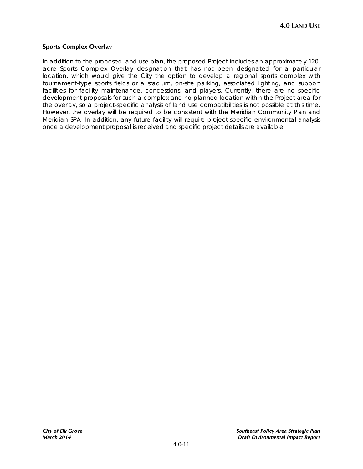## **Sports Complex Overlay**

In addition to the proposed land use plan, the proposed Project includes an approximately 120 acre Sports Complex Overlay designation that has not been designated for a particular location, which would give the City the option to develop a regional sports complex with tournament-type sports fields or a stadium, on-site parking, associated lighting, and support facilities for facility maintenance, concessions, and players. Currently, there are no specific development proposals for such a complex and no planned location within the Project area for the overlay, so a project-specific analysis of land use compatibilities is not possible at this time. However, the overlay will be required to be consistent with the Meridian Community Plan and Meridian SPA. In addition, any future facility will require project-specific environmental analysis once a development proposal is received and specific project details are available.